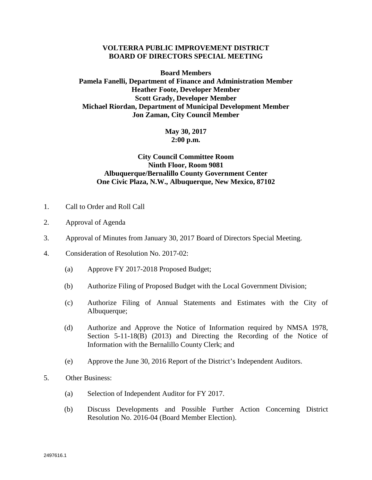## **VOLTERRA PUBLIC IMPROVEMENT DISTRICT BOARD OF DIRECTORS SPECIAL MEETING**

**Board Members Pamela Fanelli, Department of Finance and Administration Member Heather Foote, Developer Member Scott Grady, Developer Member Michael Riordan, Department of Municipal Development Member Jon Zaman, City Council Member**

## **May 30, 2017 2:00 p.m.**

## **City Council Committee Room Ninth Floor, Room 9081 Albuquerque/Bernalillo County Government Center One Civic Plaza, N.W., Albuquerque, New Mexico, 87102**

- 1. Call to Order and Roll Call
- 2. Approval of Agenda
- 3. Approval of Minutes from January 30, 2017 Board of Directors Special Meeting.
- 4. Consideration of Resolution No. 2017-02:
	- (a) Approve FY 2017-2018 Proposed Budget;
	- (b) Authorize Filing of Proposed Budget with the Local Government Division;
	- (c) Authorize Filing of Annual Statements and Estimates with the City of Albuquerque;
	- (d) Authorize and Approve the Notice of Information required by NMSA 1978, Section 5-11-18(B) (2013) and Directing the Recording of the Notice of Information with the Bernalillo County Clerk; and
	- (e) Approve the June 30, 2016 Report of the District's Independent Auditors.
- 5. Other Business:
	- (a) Selection of Independent Auditor for FY 2017.
	- (b) Discuss Developments and Possible Further Action Concerning District Resolution No. 2016-04 (Board Member Election).